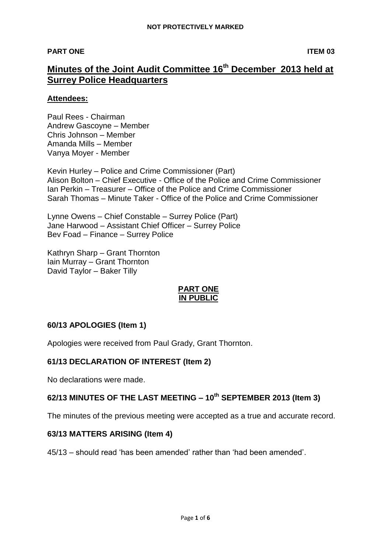#### **PART ONE ITEM 03**

# **Minutes of the Joint Audit Committee 16th December 2013 held at Surrey Police Headquarters**

#### **Attendees:**

Paul Rees - Chairman Andrew Gascoyne – Member Chris Johnson – Member Amanda Mills – Member Vanya Moyer - Member

Kevin Hurley – Police and Crime Commissioner (Part) Alison Bolton – Chief Executive - Office of the Police and Crime Commissioner Ian Perkin – Treasurer – Office of the Police and Crime Commissioner Sarah Thomas – Minute Taker - Office of the Police and Crime Commissioner

Lynne Owens – Chief Constable – Surrey Police (Part) Jane Harwood – Assistant Chief Officer – Surrey Police Bev Foad – Finance – Surrey Police

Kathryn Sharp – Grant Thornton Iain Murray – Grant Thornton David Taylor – Baker Tilly

### **PART ONE IN PUBLIC**

# **60/13 APOLOGIES (Item 1)**

Apologies were received from Paul Grady, Grant Thornton.

### **61/13 DECLARATION OF INTEREST (Item 2)**

No declarations were made.

### **62/13 MINUTES OF THE LAST MEETING – 10th SEPTEMBER 2013 (Item 3)**

The minutes of the previous meeting were accepted as a true and accurate record.

### **63/13 MATTERS ARISING (Item 4)**

45/13 – should read 'has been amended' rather than 'had been amended'.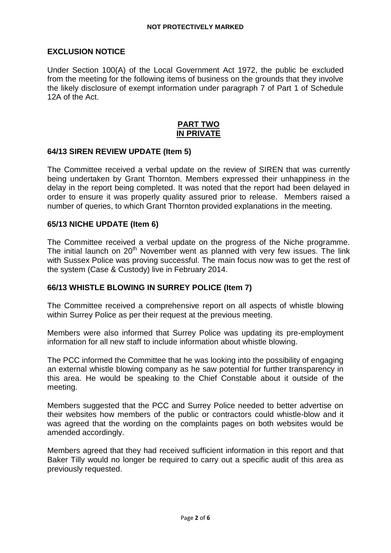#### **EXCLUSION NOTICE**

Under Section 100(A) of the Local Government Act 1972, the public be excluded from the meeting for the following items of business on the grounds that they involve the likely disclosure of exempt information under paragraph 7 of Part 1 of Schedule 12A of the Act.

#### **PART TWO IN PRIVATE**

#### **64/13 SIREN REVIEW UPDATE (Item 5)**

The Committee received a verbal update on the review of SIREN that was currently being undertaken by Grant Thornton. Members expressed their unhappiness in the delay in the report being completed. It was noted that the report had been delayed in order to ensure it was properly quality assured prior to release. Members raised a number of queries, to which Grant Thornton provided explanations in the meeting.

#### **65/13 NICHE UPDATE (Item 6)**

The Committee received a verbal update on the progress of the Niche programme. The initial launch on  $20<sup>th</sup>$  November went as planned with very few issues. The link with Sussex Police was proving successful. The main focus now was to get the rest of the system (Case & Custody) live in February 2014.

### **66/13 WHISTLE BLOWING IN SURREY POLICE (Item 7)**

The Committee received a comprehensive report on all aspects of whistle blowing within Surrey Police as per their request at the previous meeting.

Members were also informed that Surrey Police was updating its pre-employment information for all new staff to include information about whistle blowing.

The PCC informed the Committee that he was looking into the possibility of engaging an external whistle blowing company as he saw potential for further transparency in this area. He would be speaking to the Chief Constable about it outside of the meeting.

Members suggested that the PCC and Surrey Police needed to better advertise on their websites how members of the public or contractors could whistle-blow and it was agreed that the wording on the complaints pages on both websites would be amended accordingly.

Members agreed that they had received sufficient information in this report and that Baker Tilly would no longer be required to carry out a specific audit of this area as previously requested.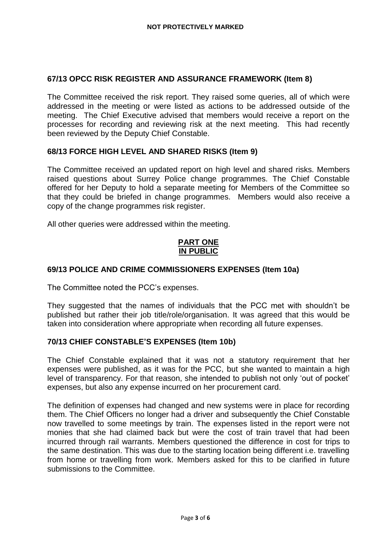### **67/13 OPCC RISK REGISTER AND ASSURANCE FRAMEWORK (Item 8)**

The Committee received the risk report. They raised some queries, all of which were addressed in the meeting or were listed as actions to be addressed outside of the meeting. The Chief Executive advised that members would receive a report on the processes for recording and reviewing risk at the next meeting. This had recently been reviewed by the Deputy Chief Constable.

### **68/13 FORCE HIGH LEVEL AND SHARED RISKS (Item 9)**

The Committee received an updated report on high level and shared risks. Members raised questions about Surrey Police change programmes. The Chief Constable offered for her Deputy to hold a separate meeting for Members of the Committee so that they could be briefed in change programmes. Members would also receive a copy of the change programmes risk register.

All other queries were addressed within the meeting.

# **PART ONE IN PUBLIC**

### **69/13 POLICE AND CRIME COMMISSIONERS EXPENSES (Item 10a)**

The Committee noted the PCC's expenses.

They suggested that the names of individuals that the PCC met with shouldn't be published but rather their job title/role/organisation. It was agreed that this would be taken into consideration where appropriate when recording all future expenses.

### **70/13 CHIEF CONSTABLE'S EXPENSES (Item 10b)**

The Chief Constable explained that it was not a statutory requirement that her expenses were published, as it was for the PCC, but she wanted to maintain a high level of transparency. For that reason, she intended to publish not only 'out of pocket' expenses, but also any expense incurred on her procurement card.

The definition of expenses had changed and new systems were in place for recording them. The Chief Officers no longer had a driver and subsequently the Chief Constable now travelled to some meetings by train. The expenses listed in the report were not monies that she had claimed back but were the cost of train travel that had been incurred through rail warrants. Members questioned the difference in cost for trips to the same destination. This was due to the starting location being different i.e. travelling from home or travelling from work. Members asked for this to be clarified in future submissions to the Committee.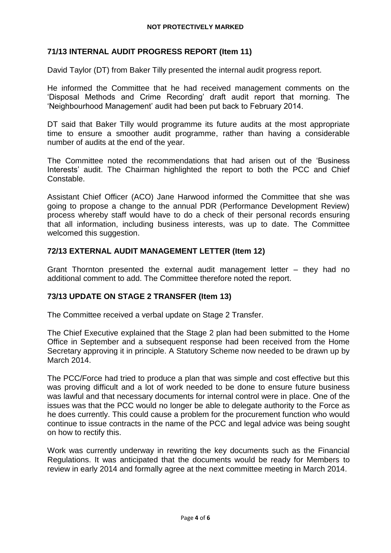# **71/13 INTERNAL AUDIT PROGRESS REPORT (Item 11)**

David Taylor (DT) from Baker Tilly presented the internal audit progress report.

He informed the Committee that he had received management comments on the 'Disposal Methods and Crime Recording' draft audit report that morning. The 'Neighbourhood Management' audit had been put back to February 2014.

DT said that Baker Tilly would programme its future audits at the most appropriate time to ensure a smoother audit programme, rather than having a considerable number of audits at the end of the year.

The Committee noted the recommendations that had arisen out of the 'Business Interests' audit. The Chairman highlighted the report to both the PCC and Chief Constable.

Assistant Chief Officer (ACO) Jane Harwood informed the Committee that she was going to propose a change to the annual PDR (Performance Development Review) process whereby staff would have to do a check of their personal records ensuring that all information, including business interests, was up to date. The Committee welcomed this suggestion.

# **72/13 EXTERNAL AUDIT MANAGEMENT LETTER (Item 12)**

Grant Thornton presented the external audit management letter – they had no additional comment to add. The Committee therefore noted the report.

# **73/13 UPDATE ON STAGE 2 TRANSFER (Item 13)**

The Committee received a verbal update on Stage 2 Transfer.

The Chief Executive explained that the Stage 2 plan had been submitted to the Home Office in September and a subsequent response had been received from the Home Secretary approving it in principle. A Statutory Scheme now needed to be drawn up by March 2014.

The PCC/Force had tried to produce a plan that was simple and cost effective but this was proving difficult and a lot of work needed to be done to ensure future business was lawful and that necessary documents for internal control were in place. One of the issues was that the PCC would no longer be able to delegate authority to the Force as he does currently. This could cause a problem for the procurement function who would continue to issue contracts in the name of the PCC and legal advice was being sought on how to rectify this.

Work was currently underway in rewriting the key documents such as the Financial Regulations. It was anticipated that the documents would be ready for Members to review in early 2014 and formally agree at the next committee meeting in March 2014.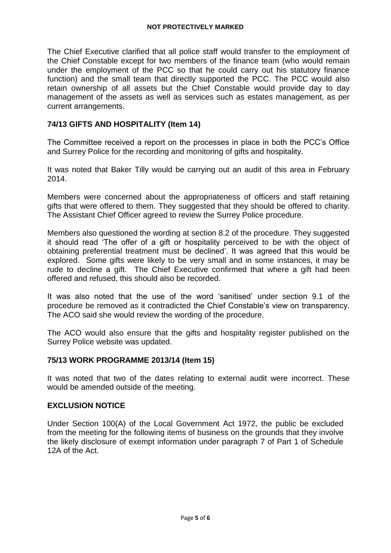The Chief Executive clarified that all police staff would transfer to the employment of the Chief Constable except for two members of the finance team (who would remain under the employment of the PCC so that he could carry out his statutory finance function) and the small team that directly supported the PCC. The PCC would also retain ownership of all assets but the Chief Constable would provide day to day management of the assets as well as services such as estates management, as per current arrangements.

### **74/13 GIFTS AND HOSPITALITY (Item 14)**

The Committee received a report on the processes in place in both the PCC's Office and Surrey Police for the recording and monitoring of gifts and hospitality.

It was noted that Baker Tilly would be carrying out an audit of this area in February 2014.

Members were concerned about the appropriateness of officers and staff retaining gifts that were offered to them. They suggested that they should be offered to charity. The Assistant Chief Officer agreed to review the Surrey Police procedure.

Members also questioned the wording at section 8.2 of the procedure. They suggested it should read 'The offer of a gift or hospitality perceived to be with the object of obtaining preferential treatment must be declined'. It was agreed that this would be explored. Some gifts were likely to be very small and in some instances, it may be rude to decline a gift. The Chief Executive confirmed that where a gift had been offered and refused, this should also be recorded.

It was also noted that the use of the word 'sanitised' under section 9.1 of the procedure be removed as it contradicted the Chief Constable's view on transparency. The ACO said she would review the wording of the procedure.

The ACO would also ensure that the gifts and hospitality register published on the Surrey Police website was updated.

### **75/13 WORK PROGRAMME 2013/14 (Item 15)**

It was noted that two of the dates relating to external audit were incorrect. These would be amended outside of the meeting.

#### **EXCLUSION NOTICE**

Under Section 100(A) of the Local Government Act 1972, the public be excluded from the meeting for the following items of business on the grounds that they involve the likely disclosure of exempt information under paragraph 7 of Part 1 of Schedule 12A of the Act.